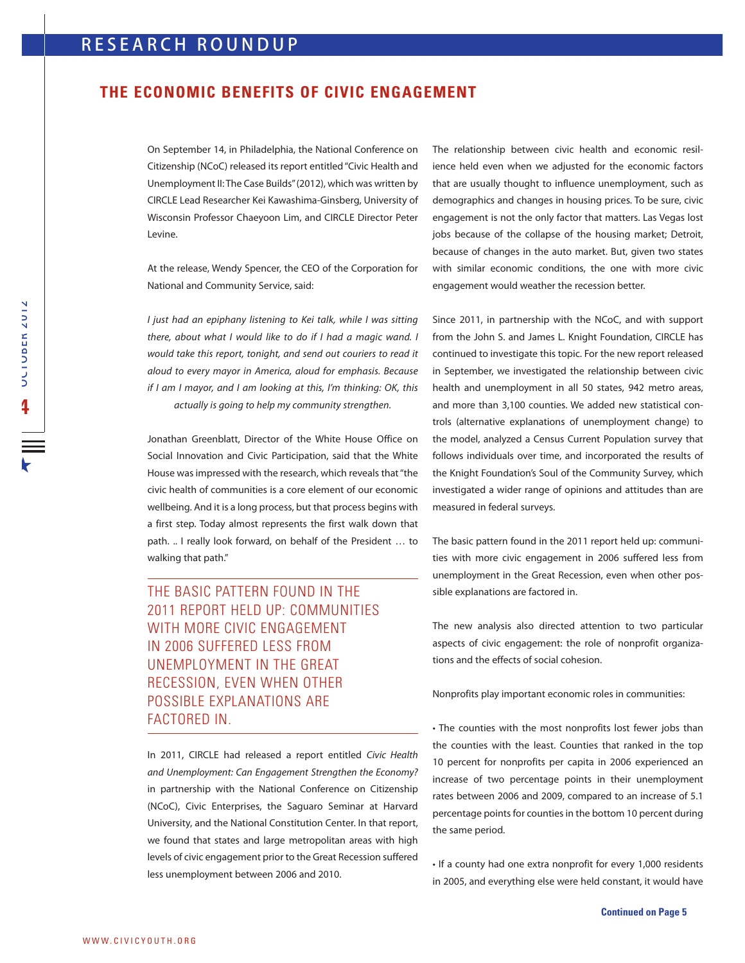## **THE ECONOMIC BENEFITS OF CIVIC ENGAGEMENT**

On September 14, in Philadelphia, the National Conference on Citizenship (NCoC) released its report entitled "Civic Health and Unemployment II: The Case Builds" (2012), which was written by CIRCLE Lead Researcher Kei Kawashima-Ginsberg, University of Wisconsin Professor Chaeyoon Lim, and CIRCLE Director Peter Levine.

At the release, Wendy Spencer, the CEO of the Corporation for National and Community Service, said:

I just had an epiphany listening to Kei talk, while I was sitting there, about what I would like to do if I had a magic wand. I would take this report, tonight, and send out couriers to read it aloud to every mayor in America, aloud for emphasis. Because if I am I mayor, and I am looking at this, I'm thinking: OK, this actually is going to help my community strengthen.

Jonathan Greenblatt, Director of the White House Office on Social Innovation and Civic Participation, said that the White House was impressed with the research, which reveals that "the civic health of communities is a core element of our economic wellbeing. And it is a long process, but that process begins with a first step. Today almost represents the first walk down that path. .. I really look forward, on behalf of the President … to walking that path."

THE BASIC PATTERN FOUND IN THE 2011 REPORT HELD UP: COMMUNITIES WITH MORE CIVIC ENGAGEMENT IN 2006 SUFFERED LESS FROM UNEMPLOYMENT IN THE GREAT RECESSION, EVEN WHEN OTHER POSSIBLE EXPLANATIONS ARE FACTORED IN

In 2011, CIRCLE had released a report entitled Civic Health and Unemployment: Can Engagement Strengthen the Economy? in partnership with the National Conference on Citizenship (NCoC), Civic Enterprises, the Saguaro Seminar at Harvard University, and the National Constitution Center. In that report, we found that states and large metropolitan areas with high levels of civic engagement prior to the Great Recession suffered less unemployment between 2006 and 2010.

The relationship between civic health and economic resilience held even when we adjusted for the economic factors that are usually thought to influence unemployment, such as demographics and changes in housing prices. To be sure, civic engagement is not the only factor that matters. Las Vegas lost jobs because of the collapse of the housing market; Detroit, because of changes in the auto market. But, given two states with similar economic conditions, the one with more civic engagement would weather the recession better.

Since 2011, in partnership with the NCoC, and with support from the John S. and James L. Knight Foundation, CIRCLE has continued to investigate this topic. For the new report released in September, we investigated the relationship between civic health and unemployment in all 50 states, 942 metro areas, and more than 3,100 counties. We added new statistical controls (alternative explanations of unemployment change) to the model, analyzed a Census Current Population survey that follows individuals over time, and incorporated the results of the Knight Foundation's Soul of the Community Survey, which investigated a wider range of opinions and attitudes than are measured in federal surveys.

The basic pattern found in the 2011 report held up: communities with more civic engagement in 2006 suffered less from unemployment in the Great Recession, even when other possible explanations are factored in.

The new analysis also directed attention to two particular aspects of civic engagement: the role of nonprofit organizations and the effects of social cohesion.

Nonprofits play important economic roles in communities:

• The counties with the most nonprofits lost fewer jobs than the counties with the least. Counties that ranked in the top 10 percent for nonprofits per capita in 2006 experienced an increase of two percentage points in their unemployment rates between 2006 and 2009, compared to an increase of 5.1 percentage points for counties in the bottom 10 percent during the same period.

• If a county had one extra nonprofit for every 1,000 residents in 2005, and everything else were held constant, it would have

 $\overline{h}$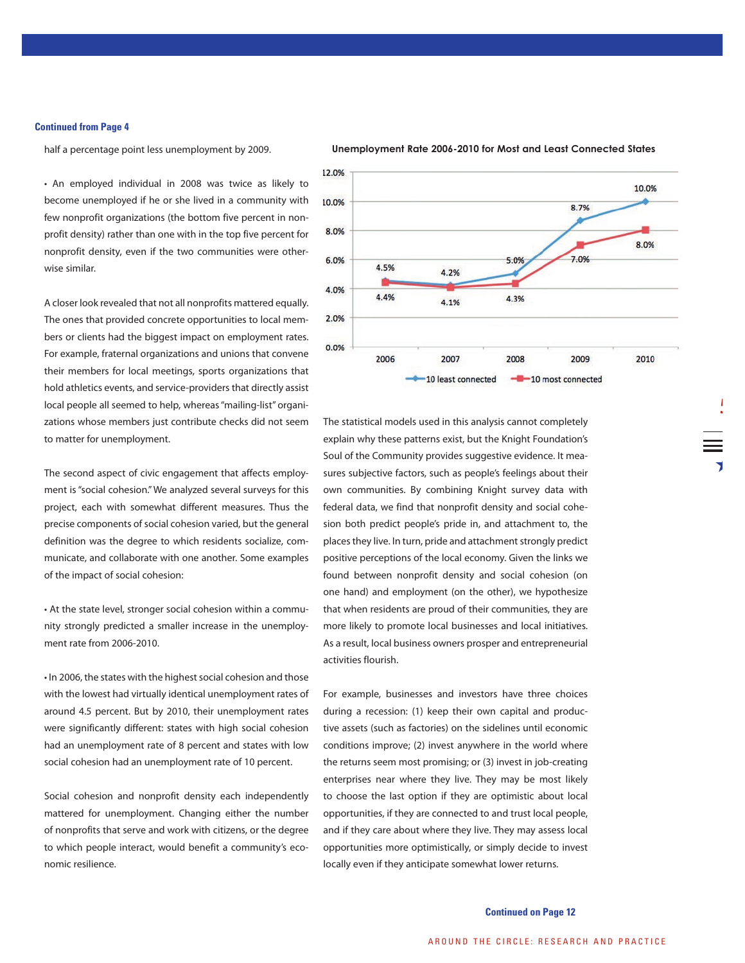## **Continued from Page 4**

half a percentage point less unemployment by 2009.

• An employed individual in 2008 was twice as likely to become unemployed if he or she lived in a community with few nonprofit organizations (the bottom five percent in nonprofit density) rather than one with in the top five percent for nonprofit density, even if the two communities were otherwise similar.

A closer look revealed that not all nonprofits mattered equally. The ones that provided concrete opportunities to local members or clients had the biggest impact on employment rates. For example, fraternal organizations and unions that convene their members for local meetings, sports organizations that hold athletics events, and service-providers that directly assist local people all seemed to help, whereas "mailing-list" organizations whose members just contribute checks did not seem to matter for unemployment.

The second aspect of civic engagement that affects employment is "social cohesion." We analyzed several surveys for this project, each with somewhat different measures. Thus the precise components of social cohesion varied, but the general definition was the degree to which residents socialize, communicate, and collaborate with one another. Some examples of the impact of social cohesion:

• At the state level, stronger social cohesion within a community strongly predicted a smaller increase in the unemployment rate from 2006-2010.

• In 2006, the states with the highest social cohesion and those with the lowest had virtually identical unemployment rates of around 4.5 percent. But by 2010, their unemployment rates were significantly different: states with high social cohesion had an unemployment rate of 8 percent and states with low social cohesion had an unemployment rate of 10 percent.

Social cohesion and nonprofit density each independently mattered for unemployment. Changing either the number of nonprofits that serve and work with citizens, or the degree to which people interact, would benefit a community's economic resilience.



## **Unemployment Rate 2006-2010 for Most and Least Connected States**

 $\overline{1}$ **5**

The statistical models used in this analysis cannot completely explain why these patterns exist, but the Knight Foundation's Soul of the Community provides suggestive evidence. It measures subjective factors, such as people's feelings about their own communities. By combining Knight survey data with federal data, we find that nonprofit density and social cohesion both predict people's pride in, and attachment to, the places they live. In turn, pride and attachment strongly predict positive perceptions of the local economy. Given the links we found between nonprofit density and social cohesion (on one hand) and employment (on the other), we hypothesize that when residents are proud of their communities, they are more likely to promote local businesses and local initiatives. As a result, local business owners prosper and entrepreneurial activities flourish.

For example, businesses and investors have three choices during a recession: (1) keep their own capital and productive assets (such as factories) on the sidelines until economic conditions improve; (2) invest anywhere in the world where the returns seem most promising; or (3) invest in job-creating enterprises near where they live. They may be most likely to choose the last option if they are optimistic about local opportunities, if they are connected to and trust local people, and if they care about where they live. They may assess local opportunities more optimistically, or simply decide to invest locally even if they anticipate somewhat lower returns.

**Continued on Page 12**